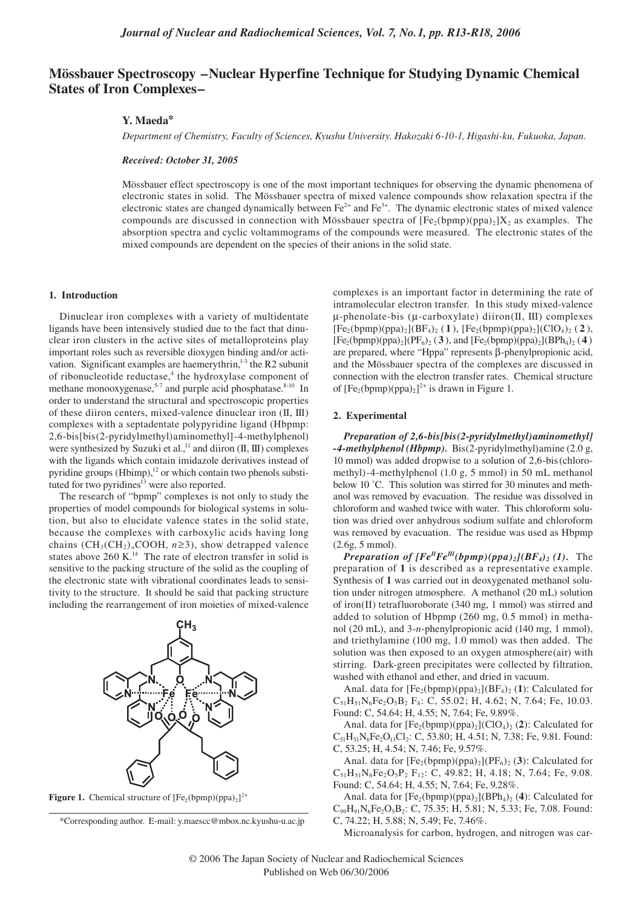# **Mössbauer Spectroscopy –Nuclear Hyperfine Technique for Studying Dynamic Chemical States of Iron Complexes–**

## **Y. Maeda\***

*Department of Chemistry, Faculty of Sciences, Kyushu University. Hakozaki 6-10-1, Higashi-ku, Fukuoka, Japan.* 

#### *Received: October 31, 2005*

Mössbauer effect spectroscopy is one of the most important techniques for observing the dynamic phenomena of electronic states in solid. The Mössbauer spectra of mixed valence compounds show relaxation spectra if the electronic states are changed dynamically between  $Fe^{2+}$  and  $Fe^{3+}$ . The dynamic electronic states of mixed valence compounds are discussed in connection with Mössbauer spectra of  $[Fe_2(bpmp)(ppa)_2]X_2$  as examples. The absorption spectra and cyclic voltammograms of the compounds were measured. The electronic states of the mixed compounds are dependent on the species of their anions in the solid state.

#### **1. Introduction**

Dinuclear iron complexes with a variety of multidentate ligands have been intensively studied due to the fact that dinuclear iron clusters in the active sites of metalloproteins play important roles such as reversible dioxygen binding and/or activation. Significant examples are haemerythrin, $1-3$  the R2 subunit of ribonucleotide reductase, $4$  the hydroxylase component of methane monooxygenase,<sup>5-7</sup> and purple acid phosphatase. $8-10$  In order to understand the structural and spectroscopic properties of these diiron centers, mixed-valence dinuclear iron (II, III) complexes with a septadentate polypyridine ligand (Hbpmp: 2,6-bis[bis(2-pyridylmethyl)aminomethyl]-4-methylphenol) were synthesized by Suzuki et al.,<sup>11</sup> and diiron (II, III) complexes with the ligands which contain imidazole derivatives instead of pyridine groups (Hbimp),<sup>12</sup> or which contain two phenols substituted for two pyridines<sup>13</sup> were also reported.

The research of "bpmp" complexes is not only to study the properties of model compounds for biological systems in solution, but also to elucidate valence states in the solid state, because the complexes with carboxylic acids having long chains  $(CH_3(CH_2)_nCOOH$ ,  $n \ge 3$ ), show detrapped valence states above  $260 \text{ K.}^{14}$  The rate of electron transfer in solid is sensitive to the packing structure of the solid as the coupling of the electronic state with vibrational coordinates leads to sensitivity to the structure. It should be said that packing structure including the rearrangement of iron moieties of mixed-valence







complexes is an important factor in determining the rate of intramolecular electron transfer. In this study mixed-valence  $\mu$ -phenolate-bis ( $\mu$ -carboxylate) diiron(II, III) complexes  $[Fe_2(bpmp)(ppa)_2](BF_4)_2$  (1),  $[Fe_2(bpmp)(ppa)_2](ClO_4)_2$  (2),  $[Fe_2(bpmp)(ppa)_2] (PF_6)_2$  (3), and  $[Fe_2(bpmp)(ppa)_2] (BPh_4)_2$  (4) are prepared, where "Hppa" represents β-phenylpropionic acid, and the Mössbauer spectra of the complexes are discussed in connection with the electron transfer rates. Chemical structure of  $[Fe_2(bpmp)(ppa)_2]^{2+}$  is drawn in Figure 1.

#### **2. Experimental**

*Preparation of 2,6-bis[bis(2-pyridylmethyl)aminomethyl] -4-methylphenol (Hbpmp).*Bis(2-pyridylmethyl)amine (2.0 g, 10 mmol) was added dropwise to a solution of 2,6-bis (chloromethyl)-4-methylphenol (1.0 g, 5 mmol) in 50 mL methanol below 10 °C. This solution was stirred for 30 minutes and methanol was removed by evacuation. The residue was dissolved in chloroform and washed twice with water. This chloroform solution was dried over anhydrous sodium sulfate and chloroform was removed by evacuation. The residue was used as Hbpmp (2.6g, 5 mmol).

*Preparation of*  $[Fe^{II}Fe^{III}(bppn)/(ppa)_{2}](BF_{4})_{2}$  *(1).* The preparation of **1** is described as a representative example. Synthesis of **1** was carried out in deoxygenated methanol solution under nitrogen atmosphere. A methanol (20 mL) solution of iron(II) tetrafluoroborate (340 mg, 1 mmol) was stirred and added to solution of Hbpmp (260 mg, 0.5 mmol) in methanol (20 mL), and 3-*n*-phenylpropionic acid (140 mg, 1 mmol), and triethylamine (100 mg, 1.0 mmol) was then added. The solution was then exposed to an oxygen atmosphere(air) with stirring. Dark-green precipitates were collected by filtration, washed with ethanol and ether, and dried in vacuum.

Anal. data for  $[Fe_2(bpr) (ppa)_2] (BF_4)_2$  (1): Calculated for  $C_{51}H_{51}N_6Fe_2O_5B_2 F_8$ : C, 55.02; H, 4.62; N, 7.64; Fe, 10.03. Found: C, 54.64; H, 4.55; N, 7.64; Fe, 9.89%.

Anal. data for  $[Fe_2(bpmp)(ppa)_2](ClO_4)_2$  (2): Calculated for  $C_{51}H_{51}N_6Fe_2O_{13}Cl_2$ : C, 53.80; H, 4.51; N, 7.38; Fe, 9.81. Found: C, 53.25; H, 4.54; N, 7.46; Fe, 9.57%.

Anal. data for  $[Fe_2(bpmp)(ppa)_2](PF_6)_2$  (3): Calculated for  $C_{51}H_{51}N_6Fe_2O_5P_2 F_{12}$ : C, 49.82; H, 4.18; N, 7.64; Fe, 9.08. Found: C, 54.64; H, 4.55; N, 7.64; Fe, 9.28%.

Anal. data for  $[Fe_2(bpmp)(ppa)_2](BPh_4)_2$  (4): Calculated for  $C_{99}H_{91}N_6Fe_2O_5B_2$ : C, 75.35; H, 5.81; N, 5.33; Fe, 7.08. Found: C, 74.22; H, 5.88; N, 5.49; Fe, 7.46%.

Microanalysis for carbon, hydrogen, and nitrogen was car-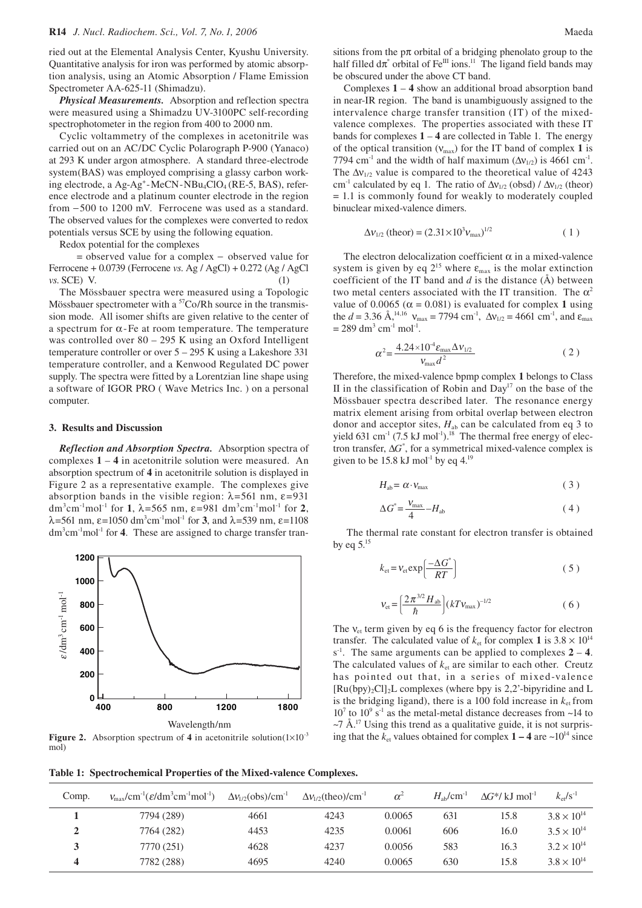ried out at the Elemental Analysis Center, Kyushu University. Quantitative analysis for iron was performed by atomic absorption analysis, using an Atomic Absorption / Flame Emission Spectrometer AA-625-11 (Shimadzu).

*Physical Measurements.* Absorption and reflection spectra were measured using a Shimadzu UV-3100PC self-recording spectrophotometer in the region from 400 to 2000 nm.

Cyclic voltammetry of the complexes in acetonitrile was carried out on an AC/DC Cyclic Polarograph P-900 (Yanaco) at 293 K under argon atmosphere. A standard three-electrode system(BAS) was employed comprising a glassy carbon working electrode, a Ag-Ag<sup>+</sup>-MeCN-NBu<sub>4</sub>ClO<sub>4</sub> (RE-5, BAS), reference electrode and a platinum counter electrode in the region from −500 to 1200 mV. Ferrocene was used as a standard. The observed values for the complexes were converted to redox potentials versus SCE by using the following equation.

Redox potential for the complexes

 = observed value for a complex − observed value for Ferrocene + 0.0739 (Ferrocene *vs*. Ag / AgCl) + 0.272 (Ag / AgCl *vs*. SCE) V. (1)

The Mössbauer spectra were measured using a Topologic Mössbauer spectrometer with a  $57C_0/Rh$  source in the transmission mode. All isomer shifts are given relative to the center of a spectrum for  $\alpha$ -Fe at room temperature. The temperature was controlled over 80 – 295 K using an Oxford Intelligent temperature controller or over 5 – 295 K using a Lakeshore 331 temperature controller, and a Kenwood Regulated DC power supply. The spectra were fitted by a Lorentzian line shape using a software of IGOR PRO ( Wave Metrics Inc. ) on a personal computer.

#### **3. Results and Discussion**

*Reflection and Absorption Spectra.* Absorption spectra of complexes **1** – **4** in acetonitrile solution were measured. An absorption spectrum of **4** in acetonitrile solution is displayed in Figure 2 as a representative example. The complexes give absorption bands in the visible region:  $\lambda$ =561 nm,  $\varepsilon$ =931 dm<sup>3</sup>cm<sup>-1</sup>mol<sup>-1</sup> for **1**,  $\lambda$ =565 nm,  $\varepsilon$ =981 dm<sup>3</sup>cm<sup>-1</sup>mol<sup>-1</sup> for **2**,  $\lambda$ =561 nm, ε=1050 dm<sup>3</sup>cm<sup>-1</sup>mol<sup>-1</sup> for **3**, and  $\lambda$ =539 nm, ε=1108 dm<sup>3</sup>cm<sup>-1</sup>mol<sup>-1</sup> for **4**. These are assigned to charge transfer tran-



**Figure 2.** Absorption spectrum of 4 in acetonitrile solution $(1 \times 10^{-3})$ mol)

sitions from the  $p\pi$  orbital of a bridging phenolato group to the half filled  $d\pi^*$  orbital of Fe<sup>III</sup> ions.<sup>11</sup> The ligand field bands may be obscured under the above CT band.

Complexes **1** – **4** show an additional broad absorption band in near-IR region. The band is unambiguously assigned to the intervalence charge transfer transition (IT) of the mixedvalence complexes. The properties associated with these IT bands for complexes  $1 - 4$  are collected in Table 1. The energy of the optical transition  $(V_{\text{max}})$  for the IT band of complex 1 is 7794 cm<sup>-1</sup> and the width of half maximum ( $\Delta v_{1/2}$ ) is 4661 cm<sup>-1</sup>. The  $\Delta v_{1/2}$  value is compared to the theoretical value of 4243 cm<sup>-1</sup> calculated by eq 1. The ratio of  $\Delta v_{1/2}$  (obsd) /  $\Delta v_{1/2}$  (theor) = 1.1 is commonly found for weakly to moderately coupled binuclear mixed-valence dimers.

$$
\Delta v_{1/2} \text{ (theor)} = (2.31 \times 10^3 v_{\text{max}})^{1/2} \tag{1}
$$

The electron delocalization coefficient  $\alpha$  in a mixed-valence system is given by eq  $2^{15}$  where  $\varepsilon_{\text{max}}$  is the molar extinction coefficient of the IT band and *d* is the distance (Å) between two metal centers associated with the IT transition. The  $\alpha^2$ value of 0.0065 ( $\alpha$  = 0.081) is evaluated for complex 1 using the *d* = 3.36 Å,<sup>14,16</sup>  $v_{\text{max}} = 7794 \text{ cm}^3$ ,  $\Delta v_{1/2} = 4661 \text{ cm}^3$ , and  $\varepsilon_{\text{max}}$  $= 289$  dm<sup>3</sup> cm<sup>-1</sup> mol<sup>-1</sup>.

$$
\alpha^2 = \frac{4.24 \times 10^4 \varepsilon_{\text{max}} \Delta v_{1/2}}{v_{\text{max}} d^2} \tag{2}
$$

Therefore, the mixed-valence bpmp complex **1** belongs to Class II in the classification of Robin and  $Day<sup>17</sup>$  on the base of the Mössbauer spectra described later. The resonance energy matrix element arising from orbital overlap between electron donor and acceptor sites,  $H_{ab}$  can be calculated from eq 3 to yield 631 cm<sup>-1</sup> (7.5 kJ mol<sup>-1</sup>).<sup>18</sup> The thermal free energy of electron transfer, ∆*G*\* , for a symmetrical mixed-valence complex is given to be 15.8 kJ mol<sup>-1</sup> by eq  $4.^{19}$ 

$$
H_{ab} = \alpha \cdot V_{\text{max}} \tag{3}
$$

$$
\Delta G^* = \frac{V_{\text{max}}}{4} - H_{\text{ab}} \tag{4}
$$

 The thermal rate constant for electron transfer is obtained by eq  $5^{15}$ 

$$
k_{\rm et} = v_{\rm et} \exp\left(\frac{-\Delta G^*}{RT}\right) \tag{5}
$$

$$
V_{\rm et} = \left(\frac{2\pi^{3/2}H_{\rm ab}}{\hbar}\right)(kT V_{\rm max})^{-1/2} \tag{6}
$$

The  $v_{et}$  term given by eq 6 is the frequency factor for electron transfer. The calculated value of  $k_{\text{et}}$  for complex 1 is  $3.8 \times 10^{14}$  $s^{-1}$ . The same arguments can be applied to complexes  $2 - 4$ . The calculated values of  $k<sub>et</sub>$  are similar to each other. Creutz has pointed out that, in a series of mixed-valence  $[Ru(bpy)_2Cl]_2L$  complexes (where bpy is 2,2'-bipyridine and L is the bridging ligand), there is a 100 fold increase in  $k_{et}$  from  $10<sup>7</sup>$  to  $10<sup>9</sup>$  s<sup>-1</sup> as the metal-metal distance decreases from ~14 to  $\sim$ 7 Å.<sup>17</sup> Using this trend as a qualitative guide, it is not surprising that the  $k_{\text{et}}$  values obtained for complex  $1 - 4$  are  $\sim 10^{14}$  since

**Table 1: Spectrochemical Properties of the Mixed-valence Complexes.**

| Comp. | $V_{\text{max}}/\text{cm}^{-1}(\mathcal{E}/\text{dm}^3\text{cm}^{-1}\text{mol}^{-1})$ | $\Delta v_{1/2}$ (obs)/cm <sup>-1</sup> | $\Delta v_{1/2}$ (theo)/cm <sup>-1</sup> | $\alpha^2$ | $H_{ab}/cm^{-1}$ | $\Delta G^*/$ kJ mol <sup>-1</sup> | $k_{\text{et}}/s^{-1}$ |
|-------|---------------------------------------------------------------------------------------|-----------------------------------------|------------------------------------------|------------|------------------|------------------------------------|------------------------|
|       | 7794 (289)                                                                            | 4661                                    | 4243                                     | 0.0065     | 631              | 15.8                               | $3.8 \times 10^{14}$   |
|       | 7764 (282)                                                                            | 4453                                    | 4235                                     | 0.0061     | 606              | 16.0                               | $3.5 \times 10^{14}$   |
|       | 7770 (251)                                                                            | 4628                                    | 4237                                     | 0.0056     | 583              | 16.3                               | $3.2 \times 10^{14}$   |
|       | 7782 (288)                                                                            | 4695                                    | 4240                                     | 0.0065     | 630              | 15.8                               | $3.8 \times 10^{14}$   |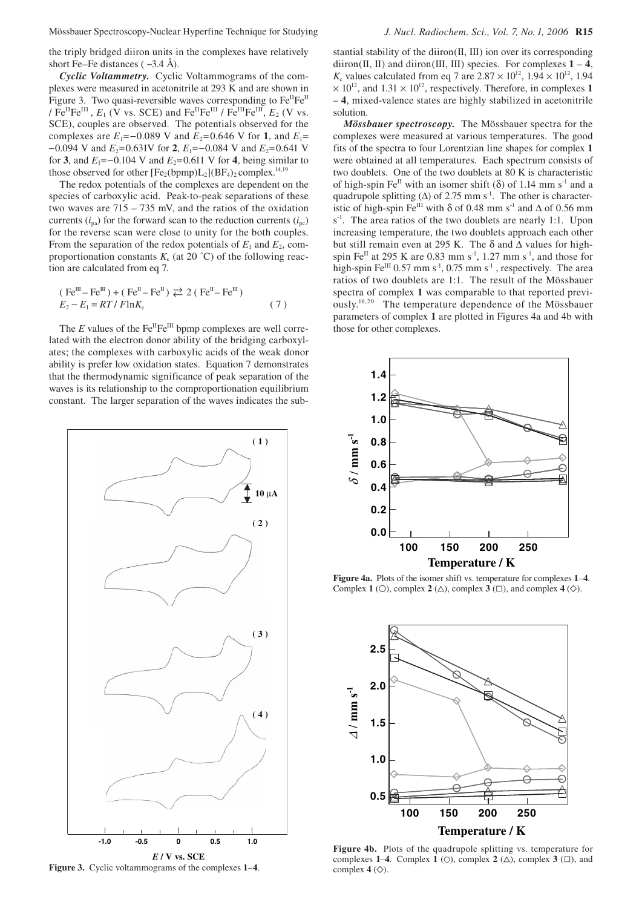the triply bridged diiron units in the complexes have relatively short Fe–Fe distances ( $\sim$ 3.4 Å).

*Cyclic Voltammetry.* Cyclic Voltammograms of the complexes were measured in acetonitrile at 293 K and are shown in Figure 3. Two quasi-reversible waves corresponding to Fe<sup>II</sup>Fe<sup>II</sup> / Fe<sup>II</sup>Fe<sup>III</sup>,  $E_1$  (V vs. SCE) and Fe<sup>II</sup>Fe<sup>III</sup> / Fe<sup>III</sup>Fe<sup>III</sup>,  $E_2$  (V vs. SCE), couples are observed. The potentials observed for the complexes are  $E_1 = -0.089$  V and  $E_2 = 0.646$  V for **1**, and  $E_1 =$  $-0.094$  V and  $E_2$ =0.631V for **2**,  $E_1$ = $-0.084$  V and  $E_2$ =0.641 V for **3**, and  $E_1 = -0.104$  V and  $E_2 = 0.611$  V for **4**, being similar to those observed for other  $[Fe_2(bpmp)L_2](BF_4)$ <sub>2</sub> complex.<sup>14,19</sup>

The redox potentials of the complexes are dependent on the species of carboxylic acid. Peak-to-peak separations of these two waves are 715 – 735 mV, and the ratios of the oxidation currents  $(i_{p})$  for the forward scan to the reduction currents  $(i_{p})$ for the reverse scan were close to unity for the both couples. From the separation of the redox potentials of  $E_1$  and  $E_2$ , comproportionation constants  $K_c$  (at 20 °C) of the following reaction are calculated from eq 7.

$$
\begin{aligned} &\text{(Fe}^{\text{III}} - \text{Fe}^{\text{III}}) + \text{(Fe}^{\text{II}} - \text{Fe}^{\text{II}}) \rightleftarrows 2 \text{ (Fe}^{\text{II}} - \text{Fe}^{\text{III}}) \\ &\text{E}_2 - \text{E}_1 = RT / F \ln K_c \end{aligned} \tag{7}
$$

The  $E$  values of the  $Fe^{II}Fe^{III}$  bpmp complexes are well correlated with the electron donor ability of the bridging carboxylates; the complexes with carboxylic acids of the weak donor ability is prefer low oxidation states. Equation 7 demonstrates that the thermodynamic significance of peak separation of the waves is its relationship to the comproportionation equilibrium constant. The larger separation of the waves indicates the sub-



**Figure 3.** Cyclic voltammograms of the complexes **1**–**4**.

stantial stability of the diiron(II, III) ion over its corresponding diiron(II, II) and diiron(III, III) species. For complexes  $1 - 4$ , *K*<sub>c</sub> values calculated from eq 7 are  $2.87 \times 10^{12}$ ,  $1.94 \times 10^{12}$ ,  $1.94$  $\times$  10<sup>12</sup>, and 1.31  $\times$  10<sup>12</sup>, respectively. Therefore, in complexes 1 – **4**, mixed-valence states are highly stabilized in acetonitrile solution.

*Mössbauer spectroscopy.*The Mössbauer spectra for the complexes were measured at various temperatures. The good fits of the spectra to four Lorentzian line shapes for complex **1** were obtained at all temperatures. Each spectrum consists of two doublets. One of the two doublets at 80 K is characteristic of high-spin Fe<sup>II</sup> with an isomer shift ( $\delta$ ) of 1.14 mm s<sup>-1</sup> and a quadrupole splitting ( $\Delta$ ) of 2.75 mm s<sup>-1</sup>. The other is characteristic of high-spin Fe<sup>III</sup> with  $\delta$  of 0.48 mm s<sup>-1</sup> and  $\Delta$  of 0.56 mm s<sup>-1</sup>. The area ratios of the two doublets are nearly 1:1. Upon increasing temperature, the two doublets approach each other but still remain even at 295 K. The  $\delta$  and  $\Delta$  values for highspin Fe<sup>II</sup> at 295 K are 0.83 mm s<sup>-1</sup>, 1.27 mm s<sup>-1</sup>, and those for high-spin Fe $^{III}$  0.57 mm s<sup>-1</sup>, 0.75 mm s<sup>-1</sup>, respectively. The area ratios of two doublets are 1:1. The result of the Mössbauer spectra of complex **1** was comparable to that reported previously.16,20 The temperature dependence of the Mössbauer parameters of complex **1** are plotted in Figures 4a and 4b with those for other complexes.



**Figure 4a.** Plots of the isomer shift vs. temperature for complexes **1**–**4**. Complex **1** (○), complex **2** (△), complex **3** (□), and complex **4** (◇).



**Figure 4b.** Plots of the quadrupole splitting vs. temperature for complexes **1–4**. Complex **1** ( $\circ$ ), complex **2** ( $\triangle$ ), complex **3** ( $\Box$ ), and complex  $4 \left( \diamondsuit \right)$ .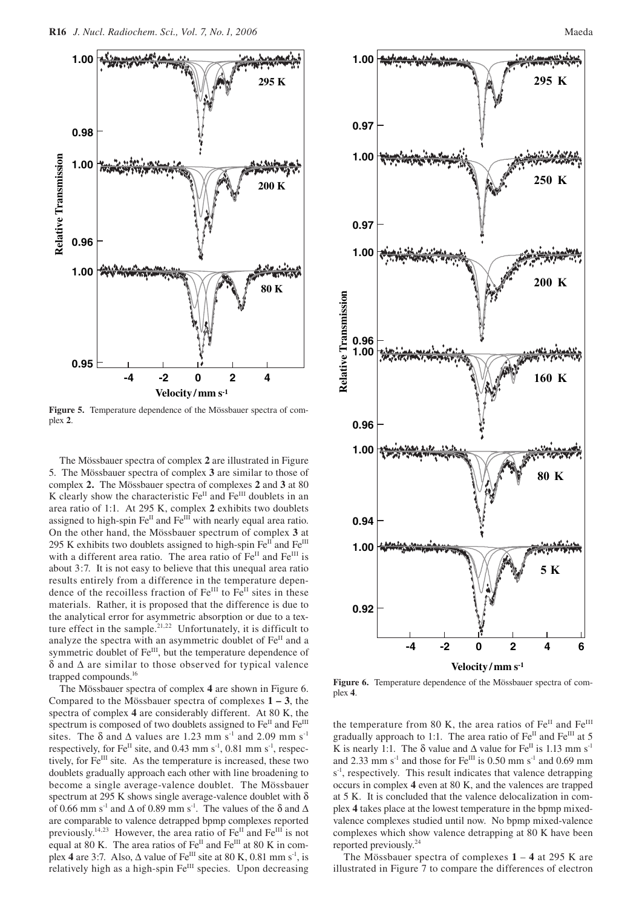

**Figure 5.** Temperature dependence of the Mössbauer spectra of complex **2**.

The Mössbauer spectra of complex **2** are illustrated in Figure 5. The Mössbauer spectra of complex **3** are similar to those of complex **2.** The Mössbauer spectra of complexes **2** and **3** at 80 K clearly show the characteristic  $Fe^{II}$  and  $Fe^{III}$  doublets in an area ratio of 1:1. At 295 K, complex **2** exhibits two doublets assigned to high-spin Fe<sup>II</sup> and Fe<sup>III</sup> with nearly equal area ratio. On the other hand, the Mössbauer spectrum of complex **3** at 295 K exhibits two doublets assigned to high-spin  $Fe^{II}$  and  $Fe^{III}$ with a different area ratio. The area ratio of  $Fe<sup>H</sup>$  and  $Fe<sup>HI</sup>$  is about 3:7. It is not easy to believe that this unequal area ratio results entirely from a difference in the temperature dependence of the recoilless fraction of  $Fe^{III}$  to  $Fe^{II}$  sites in these materials. Rather, it is proposed that the difference is due to the analytical error for asymmetric absorption or due to a texture effect in the sample.<sup>21,22</sup> Unfortunately, it is difficult to analyze the spectra with an asymmetric doublet of Fe<sup>II</sup> and a symmetric doublet of Fe<sup>III</sup>, but the temperature dependence of δ and ∆ are similar to those observed for typical valence trapped compounds.<sup>16</sup>

The Mössbauer spectra of complex **4** are shown in Figure 6. Compared to the Mössbauer spectra of complexes **1 – 3**, the spectra of complex **4** are considerably different. At 80 K, the spectrum is composed of two doublets assigned to Fe<sup>II</sup> and Fe<sup>III</sup> sites. The  $\delta$  and  $\Delta$  values are 1.23 mm s<sup>-1</sup> and 2.09 mm s<sup>-1</sup> respectively, for  $Fe^{II}$  site, and 0.43 mm  $s^{-1}$ , 0.81 mm  $s^{-1}$ , respectively, for Fe<sup>III</sup> site. As the temperature is increased, these two doublets gradually approach each other with line broadening to become a single average-valence doublet. The Mössbauer spectrum at 295 K shows single average-valence doublet with  $\delta$ of 0.66 mm s<sup>-1</sup> and  $\Delta$  of 0.89 mm s<sup>-1</sup>. The values of the  $\delta$  and  $\Delta$ are comparable to valence detrapped bpmp complexes reported previously.<sup>14,23</sup> However, the area ratio of  $Fe<sup>II</sup>$  and  $Fe<sup>III</sup>$  is not equal at 80 K. The area ratios of  $Fe<sup>II</sup>$  and  $Fe<sup>III</sup>$  at 80 K in complex 4 are 3:7. Also,  $\Delta$  value of Fe<sup>III</sup> site at 80 K, 0.81 mm s<sup>-1</sup>, is relatively high as a high-spin Fe<sup>III</sup> species. Upon decreasing





**Figure 6.** Temperature dependence of the Mössbauer spectra of complex **4**.

the temperature from 80 K, the area ratios of Fe<sup>II</sup> and Fe<sup>III</sup> gradually approach to 1:1. The area ratio of Fe<sup>II</sup> and Fe<sup>III</sup> at 5 K is nearly 1:1. The  $\delta$  value and  $\Delta$  value for Fe<sup>II</sup> is 1.13 mm s<sup>-1</sup> and 2.33 mm s<sup>-1</sup> and those for Fe<sup>III</sup> is 0.50 mm s<sup>-1</sup> and 0.69 mm s<sup>-1</sup>, respectively. This result indicates that valence detrapping occurs in complex **4** even at 80 K, and the valences are trapped at 5 K. It is concluded that the valence delocalization in complex **4** takes place at the lowest temperature in the bpmp mixedvalence complexes studied until now. No bpmp mixed-valence complexes which show valence detrapping at 80 K have been reported previously.24

The Mössbauer spectra of complexes **1** – **4** at 295 K are illustrated in Figure 7 to compare the differences of electron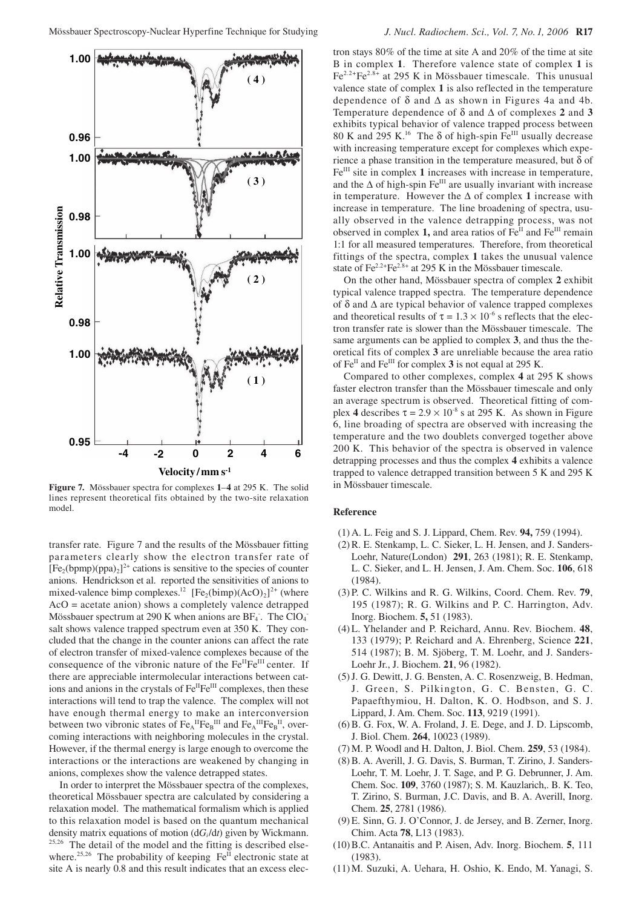

**Figure 7.** Mössbauer spectra for complexes **1**–**4** at 295 K. The solid lines represent theoretical fits obtained by the two-site relaxation model.

transfer rate. Figure 7 and the results of the Mössbauer fitting parameters clearly show the electron transfer rate of  $[Fe<sub>2</sub>(bpmp)(ppa)<sub>2</sub>]<sup>2+</sup>$  cations is sensitive to the species of counter anions. Hendrickson et al. reported the sensitivities of anions to mixed-valence bimp complexes.<sup>12</sup> [Fe<sub>2</sub>(bimp)(AcO)<sub>2</sub>]<sup>2+</sup> (where AcO = acetate anion) shows a completely valence detrapped Mössbauer spectrum at 290 K when anions are  $BF_4$ . The ClO<sub>4</sub> salt shows valence trapped spectrum even at 350 K. They concluded that the change in the counter anions can affect the rate of electron transfer of mixed-valence complexes because of the consequence of the vibronic nature of the  $Fe^{II}Fe^{III}$  center. If there are appreciable intermolecular interactions between cations and anions in the crystals of Fe<sup>II</sup>Fe<sup>III</sup> complexes, then these interactions will tend to trap the valence. The complex will not have enough thermal energy to make an interconversion between two vibronic states of  $\text{Fe}_{A}^{\text{II}}\text{Fe}_{B}^{\text{III}}$  and  $\text{Fe}_{A}^{\text{III}}\text{Fe}_{B}^{\text{II}}$ , overcoming interactions with neighboring molecules in the crystal. However, if the thermal energy is large enough to overcome the interactions or the interactions are weakened by changing in anions, complexes show the valence detrapped states.

In order to interpret the Mössbauer spectra of the complexes, theoretical Mössbauer spectra are calculated by considering a relaxation model. The mathematical formalism which is applied to this relaxation model is based on the quantum mechanical density matrix equations of motion (d*Gi*/d*t*) given by Wickmann. <sup>25,26</sup> The detail of the model and the fitting is described elsewhere.<sup>25,26</sup> The probability of keeping  $Fe<sup>H</sup>$  electronic state at site A is nearly 0.8 and this result indicates that an excess electron stays 80% of the time at site A and 20% of the time at site B in complex **1**. Therefore valence state of complex **1** is Fe2.2+Fe2.8+ at 295 K in Mössbauer timescale. This unusual valence state of complex **1** is also reflected in the temperature dependence of  $\delta$  and  $\Delta$  as shown in Figures 4a and 4b. Temperature dependence of δ and ∆ of complexes **2** and **3**  exhibits typical behavior of valence trapped process between 80 K and 295 K.<sup>16</sup> The  $\delta$  of high-spin Fe<sup>III</sup> usually decrease with increasing temperature except for complexes which experience a phase transition in the temperature measured, but  $\delta$  of Fe<sup>III</sup> site in complex 1 increases with increase in temperature, and the  $\Delta$  of high-spin Fe<sup>III</sup> are usually invariant with increase in temperature. However the ∆ of complex **1** increase with increase in temperature. The line broadening of spectra, usually observed in the valence detrapping process, was not observed in complex 1, and area ratios of Fe<sup>II</sup> and Fe<sup>III</sup> remain 1:1 for all measured temperatures. Therefore, from theoretical fittings of the spectra, complex **1** takes the unusual valence state of  $Fe^{2.2+}Fe^{2.8+}$  at 295 K in the Mössbauer timescale.

On the other hand, Mössbauer spectra of complex **2** exhibit typical valence trapped spectra. The temperature dependence of  $\delta$  and  $\Delta$  are typical behavior of valence trapped complexes and theoretical results of  $\tau = 1.3 \times 10^{-6}$  s reflects that the electron transfer rate is slower than the Mössbauer timescale. The same arguments can be applied to complex **3**, and thus the theoretical fits of complex **3** are unreliable because the area ratio of Fe<sup>II</sup> and Fe<sup>III</sup> for complex 3 is not equal at 295 K.

Compared to other complexes, complex **4** at 295 K shows faster electron transfer than the Mössbauer timescale and only an average spectrum is observed. Theoretical fitting of complex 4 describes  $\tau = 2.9 \times 10^{-8}$  s at 295 K. As shown in Figure 6, line broading of spectra are observed with increasing the temperature and the two doublets converged together above 200 K. This behavior of the spectra is observed in valence detrapping processes and thus the complex **4** exhibits a valence trapped to valence detrapped transition between 5 K and 295 K in Mössbauer timescale.

### **Reference**

- (1) A. L. Feig and S. J. Lippard, Chem. Rev. **94,** 759 (1994).
- (2) R. E. Stenkamp, L. C. Sieker, L. H. Jensen, and J. Sanders-Loehr, Nature(London) **291**, 263 (1981); R. E. Stenkamp, L. C. Sieker, and L. H. Jensen, J. Am. Chem. Soc. **106**, 618 (1984).
- (3) P. C. Wilkins and R. G. Wilkins, Coord. Chem. Rev. **79**, 195 (1987); R. G. Wilkins and P. C. Harrington, Adv. Inorg. Biochem. **5,** 51 (1983).
- (4) L. Yhelander and P. Reichard, Annu. Rev. Biochem. **48**, 133 (1979); P. Reichard and A. Ehrenberg, Science **221**, 514 (1987); B. M. Sjöberg, T. M. Loehr, and J. Sanders-Loehr Jr., J. Biochem. **21**, 96 (1982).
- (5) J. G. Dewitt, J. G. Bensten, A. C. Rosenzweig, B. Hedman, J. Green, S. Pilkington, G. C. Bensten, G. C. Papaefthymiou, H. Dalton, K. O. Hodbson, and S. J. Lippard, J. Am. Chem. Soc. **113**, 9219 (1991).
- (6) B. G. Fox, W. A. Froland, J. E. Dege, and J. D. Lipscomb, J. Biol. Chem. **264**, 10023 (1989).
- (7) M. P. Woodl and H. Dalton, J. Biol. Chem. **259**, 53 (1984).
- (8) B. A. Averill, J. G. Davis, S. Burman, T. Zirino, J. Sanders-Loehr, T. M. Loehr, J. T. Sage, and P. G. Debrunner, J. Am. Chem. Soc. **109**, 3760 (1987); S. M. Kauzlarich,. B. K. Teo, T. Zirino, S. Burman, J.C. Davis, and B. A. Averill, Inorg. Chem. **25**, 2781 (1986).
- (9) E. Sinn, G. J. O'Connor, J. de Jersey, and B. Zerner, Inorg. Chim. Acta **78**, L13 (1983).
- (10) B.C. Antanaitis and P. Aisen, Adv. Inorg. Biochem. **5**, 111 (1983).
- (11) M. Suzuki, A. Uehara, H. Oshio, K. Endo, M. Yanagi, S.